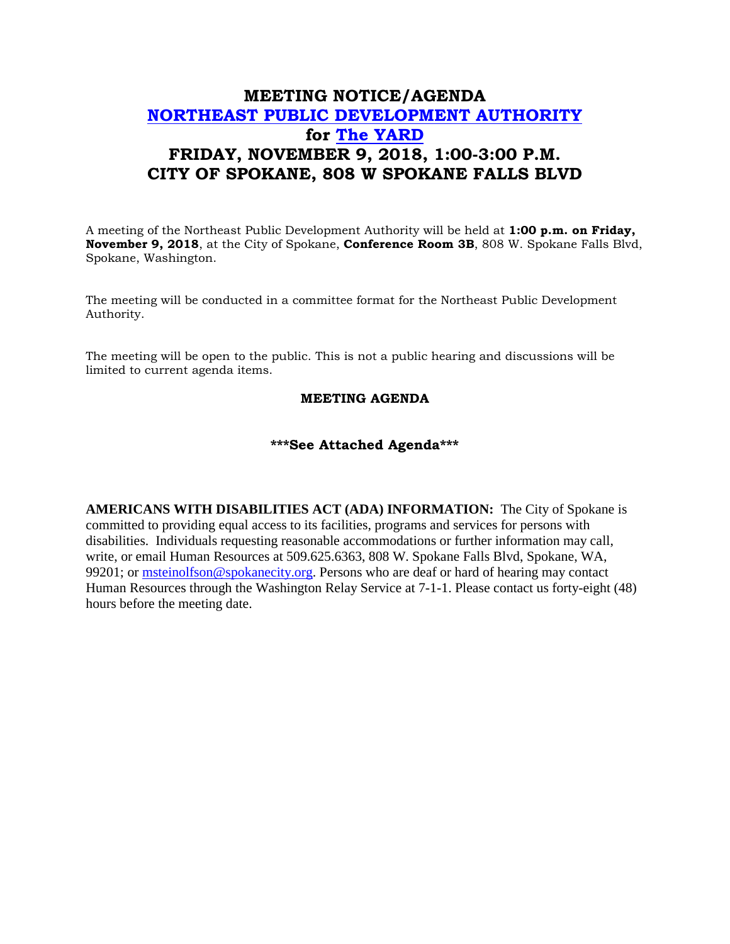## **MEETING NOTICE/AGENDA [NORTHEAST PUBLIC DEVELOPMENT AUTHORITY](https://beta.spokanecity.org/bcc/boards/northeast-public-development-authority/) for [The YARD](https://beta.spokanecity.org/projects/theyard/) FRIDAY, NOVEMBER 9, 2018, 1:00-3:00 P.M. CITY OF SPOKANE, 808 W SPOKANE FALLS BLVD**

A meeting of the Northeast Public Development Authority will be held at **1:00 p.m. on Friday, November 9, 2018**, at the City of Spokane, **Conference Room 3B**, 808 W. Spokane Falls Blvd, Spokane, Washington.

The meeting will be conducted in a committee format for the Northeast Public Development Authority.

The meeting will be open to the public. This is not a public hearing and discussions will be limited to current agenda items.

## **MEETING AGENDA**

## **\*\*\*See Attached Agenda\*\*\***

**AMERICANS WITH DISABILITIES ACT (ADA) INFORMATION:** The City of Spokane is committed to providing equal access to its facilities, programs and services for persons with disabilities. Individuals requesting reasonable accommodations or further information may call, write, or email Human Resources at 509.625.6363, 808 W. Spokane Falls Blvd, Spokane, WA, 99201; or [msteinolfson@spokanecity.org.](mailto:msteinolfson@spokanecity.org) Persons who are deaf or hard of hearing may contact Human Resources through the Washington Relay Service at 7-1-1. Please contact us forty-eight (48) hours before the meeting date.